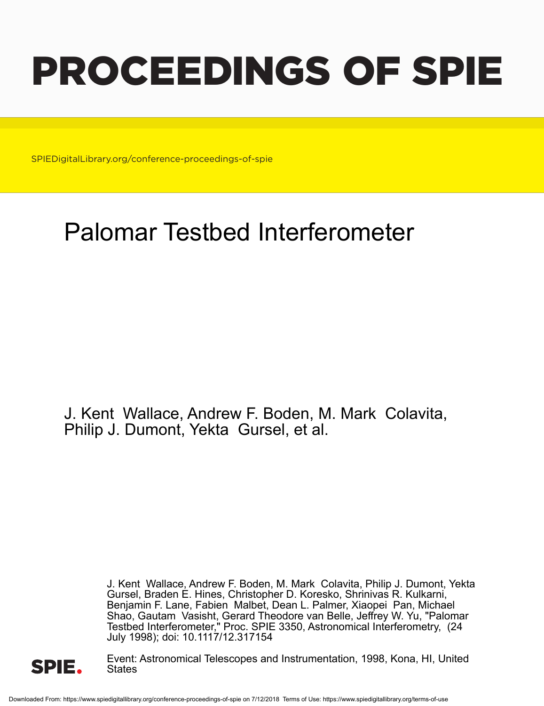# PROCEEDINGS OF SPIE

SPIEDigitalLibrary.org/conference-proceedings-of-spie

## Palomar Testbed Interferometer

J. Kent Wallace, Andrew F. Boden, M. Mark Colavita, Philip J. Dumont, Yekta Gursel, et al.

> J. Kent Wallace, Andrew F. Boden, M. Mark Colavita, Philip J. Dumont, Yekta Gursel, Braden E. Hines, Christopher D. Koresko, Shrinivas R. Kulkarni, Benjamin F. Lane, Fabien Malbet, Dean L. Palmer, Xiaopei Pan, Michael Shao, Gautam Vasisht, Gerard Theodore van Belle, Jeffrey W. Yu, "Palomar Testbed Interferometer," Proc. SPIE 3350, Astronomical Interferometry, (24 July 1998); doi: 10.1117/12.317154



Event: Astronomical Telescopes and Instrumentation, 1998, Kona, HI, United **States**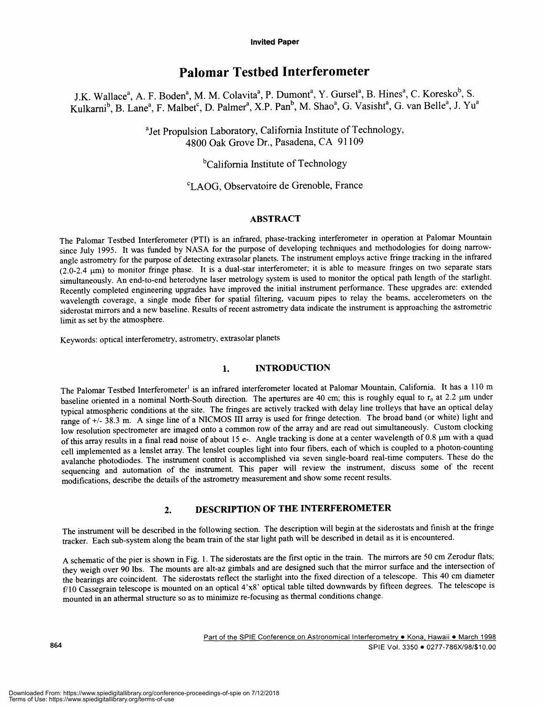### Palomar Testbed Interferometer

J.K. Wallace<sup>a</sup>, A. F. Boden<sup>a</sup>, M. M. Colavita<sup>a</sup>, P. Dumont<sup>a</sup>, Y. Gursel<sup>a</sup>, B. Hines<sup>a</sup>, C. Koresko<sup>b</sup>, S. Kulkarni<sup>b</sup>, B. Lane<sup>a</sup>, F. Malbet<sup>c</sup>, D. Palmer<sup>a</sup>, X.P. Pan<sup>b</sup>, M. Shao<sup>a</sup>, G. Vasisht<sup>a</sup>, G. van Belle<sup>a</sup>, J. Yu<sup>a</sup>

> <sup>a</sup>Jet Propulsion Laboratory, California Institute of Technology, 4800 Oak Grove Dr., Pasadena, CA 9 1 109

> > <sup>b</sup>California Institute of Technology

<sup>c</sup>LAOG, Observatoire de Grenoble, France

#### ABSTRACT

The Palomar Testbed Interferometer (PTI) is an infrared, phase-tracking interferometer in operation at Palomar Mountain since July 1995. It was funded by NASA for the purpose of developing techniques and methodologies for doing narrowangle astrometry for the purpose of detecting extrasolar planets. The instrument employs active fringe tracking in the infrared  $(2.0-2.4 \mu m)$  to monitor fringe phase. It is a dual-star interferometer; it is able to measure fringes on two separate stars simultaneously. An end-to-end heterodyne laser metrology system is used to monitor the optical path length of the starlight. Recently completed engineering upgrades have improved the initial instrument performance. These upgrades are: extended wavelength coverage, a single mode fiber for spatial filtering, vacuum pipes to relay the beams, accelerometers on the siderostat mirrors and a new baseline. Results of recent astrometry data indicate the instrument is approaching the astrometric limit as set by the atmosphere.

Keywords: optical interferometry, astrometry, extrasolar planets

#### 1. INTRODUCTION

The Palomar Testbed Interferometer' is an infrared interferometer located at Palomar Mountain, California. It has a 1 10 m baseline oriented in a nominal North-South direction. The apertures are 40 cm; this is roughly equal to  $r_0$  at 2.2  $\mu$ m under typical atmospheric conditions at the site. The fringes are actively tracked with delay line trolleys that have an optical delay range of +/- 38.3 m. A singe line of a NICMOS III array is used for fringe detection. The broad band (or white) light and low resolution spectrometer are imaged onto a common row of the array and are read out simultaneously. Custom clocking of this array results in a final read noise of about 15 e-. Angle tracking is done at a center wavelength of  $0.8 \mu m$  with a quad cell implemented as a lenslet array. The lenslet couples light into four fibers, each of which is coupled to a photon-counting avalanche photodiodes. The instrument control is accomplished via seven single-board real-time computers.These do the sequencing and automation of the instrument. This paper will review the instrument, discuss some of the recent modifications, describe the details of the astrometry measurement and show some recent results.

#### 2. DESCRIPTION OF THE INTERFEROMETER

The instrument will be described in the following section. The description will begin at the siderostats and finish at the fringe tracker. Each sub-system along the beam train of the star light path will be described in detail as it is encountered.

A schematic of the pier is shown in Fig. 1. The siderostats are the first optic in the train. The mirrors are 50 cm Zerodur flats; they weigh over 90 lbs. The mounts are alt-az gimbals and are designed such that the mirror surface and the intersection of the bearings are coincident. The siderostats reflect the starlight into the fixed direction of a telescope. This 40 cmdiameter f/lO Cassegrain telescope is mounted on an optical 4'x8' optical table tilted downwards by fifteen degrees. The telescope is mounted in an athermal structure so as to minimize re-focusing as thermal conditions change.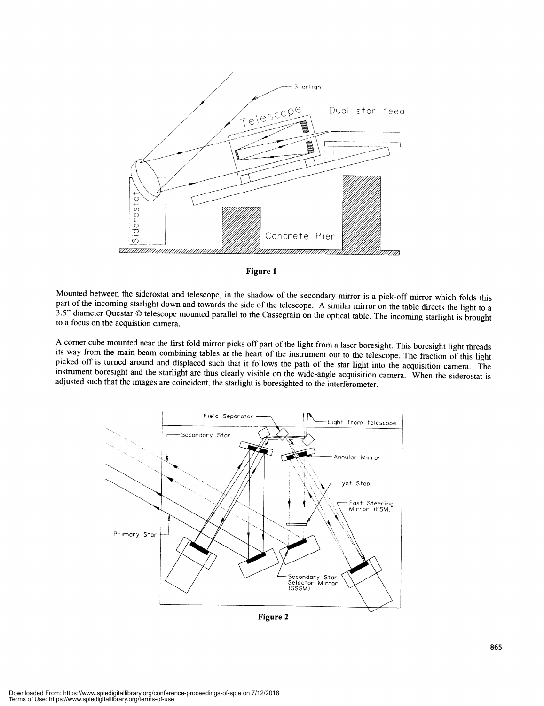

Figure 1

Mounted between the siderostat and telescope, in the shadow of the secondary mirror is a pick-off mirror which folds this part of the incoming starlight down and towards the side of the telescope. A similar mirror on the t 3.5" diameter Questar © telescope mounted parallel to the Cassegrain on the optical table. The incoming starlight is brought to a focus on the acquistion camera.

A corner cube mounted near the first fold mirror picks off part of the light from a laser boresight. This boresight light threads its way from the main beam combining tables at the heart of the instrument out to the telesc instrument boresight and the starlight are thus clearly visible on the wide-angle acquisition camera. When the siderostat is adjusted such that the images are coincident, the starlight is boresighted to the interferometer.



Figure 2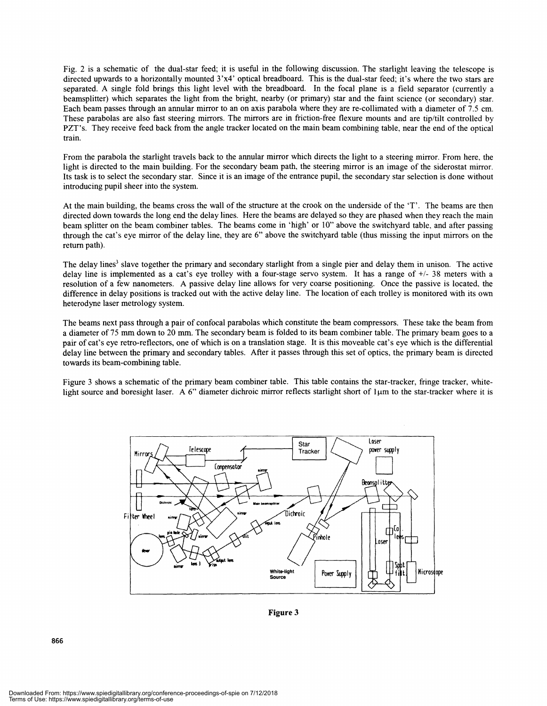Fig. 2 is a schematic of the dual-star feed; it is useful in the following discussion. The starlight leaving the telescope is directed upwards to a horizontally mounted 3'x4' optical breadboard. This is the dual-star feed; it's where the two stars are separated. A single fold brings this light level with the breadboard. In the focal plane is a field separator (currently a beamsplitter) which separates the light from the bright, nearby (or primary) star and the faint science (or secondary) star. Each beam passes through an annular mirror to an on axis parabola where they are re-collimated with a diameter of 7.5cm. These parabolas are also fast steering mirrors. The mirrors are in friction-free flexure mounts and are tip/tilt controlled by PZT's. They receive feed back from the angle tracker located on the main beam combining table, near the end of the optical train.

From the parabola the starlight travels back to the annular mirror which directs the light to a steering mirror. From here, the light is directed to the main building. For the secondary beam path, the steering mirror is an image of the siderostat mirror. Its task is to select the secondary star. Since it is an image of the entrance pupil, the secondary star selection is done without introducing pupil sheer into the system.

At the main building, the beams cross the wall of the structure at the crook on the underside of the 'T'. The beams are then directed down towards the long end the delay lines. Here the beams are delayed so they are phased when they reach the main beam splitter on the beam combiner tables. The beams come in 'high' or 10" above the switchyard table, and after passing through the cat's eye mirror of the delay line, they are 6" above the switchyard table (thus missing the input mirrors on the return path).

The delay lines<sup>3</sup> slave together the primary and secondary starlight from a single pier and delay them in unison. The active delay line is implemented as a cat's eye trolley with a four-stage servo system. It has a range of  $+/-38$  meters with a resolution of a few nanometers. A passive delay line allows for very coarse positioning. Once the passive is located, the difference in delay positions is tracked out with the active delay line. The location of each trolley is monitored with its own heterodyne laser metrology system.

The beams next pass through a pair of confocal parabolas which constitute the beam compressors. These take the beam from a diameter of 75 mm down to 20 mm. The secondary beam is folded to its beam combiner table. The primary beam goes to a pair of cat's eye retro-reflectors, one of which is on a translation stage. It is this moveable cat's eye which is the differential delay line between the primary and secondary tables. After it passes through this set of optics, the primary beam is directed towards its beam-combining table.

Figure 3 shows a schematic of the primary beam combiner table. This table contains the star-tracker, fringe tracker, whitelight source and boresight laser. A 6" diameter dichroic mirror reflects starlight short of  $1\mu$ m to the star-tracker where it is



Figure 3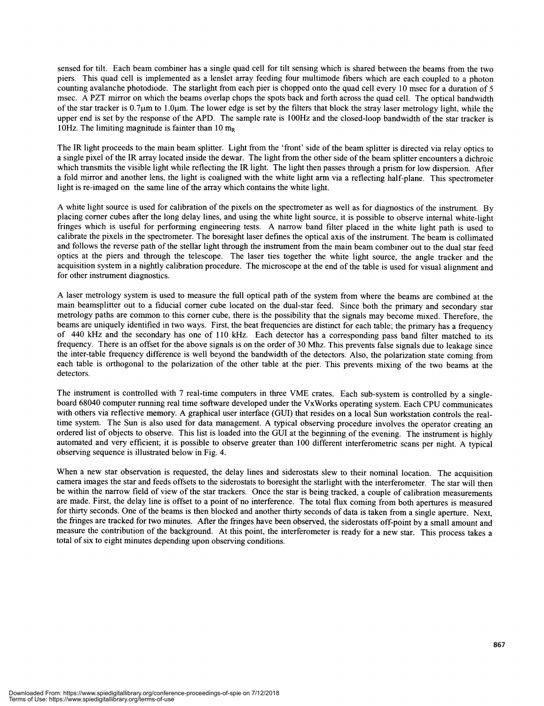sensed for tilt. Each beam combiner has a single quad cell for tilt sensing which is shared between the beams from the two piers. This quad cell is implemented as a lenslet array feeding four multimode fibers which are each coupled to a photon counting avalanche photodiode. The starlight from each pier is chopped onto the quad cell every 10 msec for a duration of 5 msec. A PZT mirror on which the beams overlap chops the spots back and forth across the quad cell. The optical bandwidth of the star tracker is  $0.7\mu$ m to  $1.0\mu$ m. The lower edge is set by the filters that block the stray laser metrology light, while the upper end is set by the response of the APD. The sample rate is 100Hz and the closed-loop bandwidth of the star tracker is 10Hz. The limiting magnitude is fainter than 10  $m<sub>R</sub>$ 

The JR light proceeds to the main beam splitter. Light from the 'front' side of the beam splitter is directed via relay optics to a single pixel of the JR array located inside the dewar. The light from the other side ofthe beam splitter encounters a dichroic which transmits the visible light while reflecting the IR light. The light then passes through a prism for low dispersion. After a fold mirror and another lens, the light is coaligned with the white light arm via a reflecting half-plane. This spectrometer light is re-imaged on the same line of the array which contains the white light.

A white light source is used for calibration of the pixels on the spectrometer as well as for diagnostics of the instrument. By placing corner cubes after the long delay lines, and using the white light source, it is possible to observe internal white-light fringes which is useful for performing engineering tests. A narrow band filter placed in the white light path is used to calibrate the pixels in the spectrometer. The boresight laser defines the optical axis of the instrument. The beam is collimated and follows the reverse path of the stellar light through the instrument from the main beam combiner out to the dual star feed optics at the piers and through the telescope. The laser ties together the white light source, the angle tracker and the acquisition system in a nightly calibration procedure. The microscope at the end of the table is used for visual alignment and for other instrument diagnostics.

A laser metrology system is used to measure the full optical path of the system from where the beams are combined at the main beamsplitter out to a fiducial corner cube located on the dual-star feed. Since both the primary and secondary star metrology paths are common to this corner cube, there is the possibility that the signals may become mixed. Therefore, the beams are uniquely identified in two ways. First, the beat frequencies are distinct for each table; the primary has a frequency of 440 kHz and the secondary has one of 110 kHz. Each detector has a corresponding pass band filter matched to its frequency. There is an offset for the above signals is on the order of 30 Mhz. This prevents false signals due to leakage since the inter-table frequency difference is well beyond the bandwidth of the detectors. Also, the polarization state coming from each table is orthogonal to the polarization of the other table at the pier. This prevents mixing of the two beams at the detectors.

The instrument is controlled with 7 real-time computers in three VME crates. Each sub-system is controlled by a singleboard 68040 computer running real time software developed under the VxWorks operating system. Each CPU communicates with others via reflective memory. A graphical user interface (GUI) that resides on a local Sun workstation controls the realtime system. The Sun is also used for data management. A typical observing procedure involves the operator creating an ordered list of objects to observe. This list is loaded into the GUI at the beginning of the evening. The instrument is highly automated and very efficient; it is possible to observe greater than 100 different interferometric scans per night. A typical observing sequence is illustrated below in Fig. 4.

When a new star observation is requested, the delay lines and siderostats slew to their nominal location. The acquisition camera images the star and feeds offsets to the siderostats to boresight the starlight with the interferometer. The star will then be within the narrow field of view of the star trackers. Once the star is being tracked, a couple of calibration measurements are made. First, the delay line is offset to a point of no interference. The total flux coming from both apertures is measured for thirty seconds. One of the beams is then blocked and another thirty seconds of data is taken from a single aperture. Next, the fringes are tracked for two minutes. After the fringes have been observed, the siderostats off-point by a small amount and measure the contribution of the background. At this point, the interferometer is ready for a new star. This process takes a total of six to eight minutes depending upon observing conditions.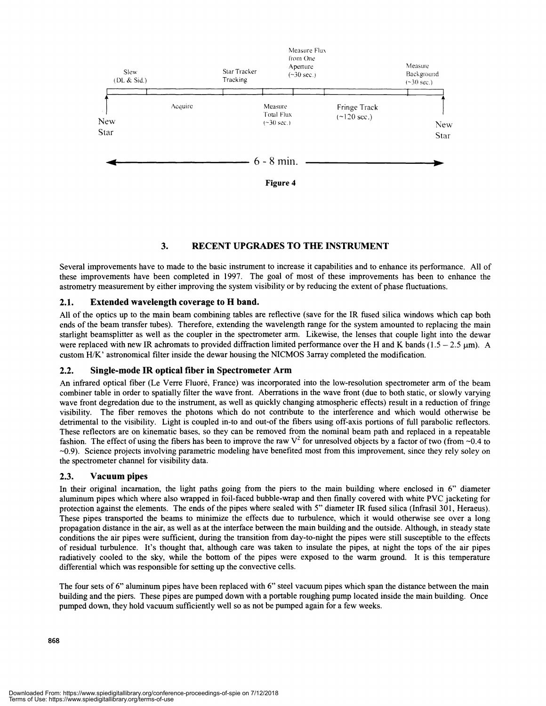

#### 3. RECENT UPGRADES TO THE INSTRUMENT

Several improvements have to made to the basic instrument to increase it capabilities and to enhance its performance. All of these improvements have been completed in 1997. The goal of most of these improvements has been to enhance the astrometry measurement by either improving the system visibility or by reducing the extent of phase fluctuations.

#### 2.1. Extended wavelength coverage to H band.

All of the optics up to the main beam combining tables are reflective (save for the IR fused silica windows which cap both ends of the beam transfer tubes). Therefore, extending the wavelength range for the system amounted to replacing the main starlight beamsplitter as well as the coupler in the spectrometer arm. Likewise, the lenses that couple light into the dewar were replaced with new IR achromats to provided diffraction limited performance over the H and K bands ( $1.5 - 2.5 \,\mu m$ ). A custom H/K' astronomical filter inside the dewar housing the NICMOS 3array completed the modification.

#### 2.2. Single-mode IR optical fiber in Spectrometer Arm

An infrared optical fiber (Le Verre Fluoré, France) was incorporated into the low-resolution spectrometer arm of the beam combiner table in order to spatially filter the wave front. Aberrations in the wave front (due to both static, or slowly varying wave front degredation due to the instrument, as well as quickly changing atmospheric effects) result in a reduction of fringe visibility. The fiber removes the photons which do not contribute to the interference and which would otherwise be detrimental to the visibility. Light is coupled in-to and out-of the fibers using off-axis portions of full parabolic reflectors. These reflectors are on kinematic bases, so they can be removed from the nominal beam path and replaced in a repeatable fashion. The effect of using the fibers has been to improve the raw  $V^2$  for unresolved objects by a factor of two (from ~0.4 to  $\sim$ 0.9). Science projects involving parametric modeling have benefited most from this improvement, since they rely soley on the spectrometer channel for visibility data.

#### 2.3. Vacuum pipes

In their original incarnation, the light paths going from the piers to the main building where enclosed in 6" diameter aluminum pipes which where also wrapped in foil-faced bubble-wrap and then finally covered with white PVC jacketing for protection against the elements. The ends of the pipes where sealed with 5"diameter JR fused silica (Infrasil 301, Heraeus). These pipes transported the beams to minimize the effects due to turbulence, which it would otherwise see over a long propagation distance in the air, as well as at the interface between the main building and the outside. Although, in steady state conditions the air pipes were sufficient, during the transition from day-to-night the pipes were still susceptible to the effects of residual turbulence. It's thought that, although care was taken to insulate the pipes, at night the tops of the air pipes radiatively cooled to the sky, while the bottom of the pipes were exposed to the warm ground. It is this temperature differential which was responsible for setting up the convective cells.

The four sets of 6" aluminum pipes have been replaced with 6" steel vacuum pipes which span the distance between the main building and the piers. These pipes are pumped down with a portable roughing pump located inside the main building. Once pumped down, they hold vacuum sufficiently well so as not be pumped again for a few weeks.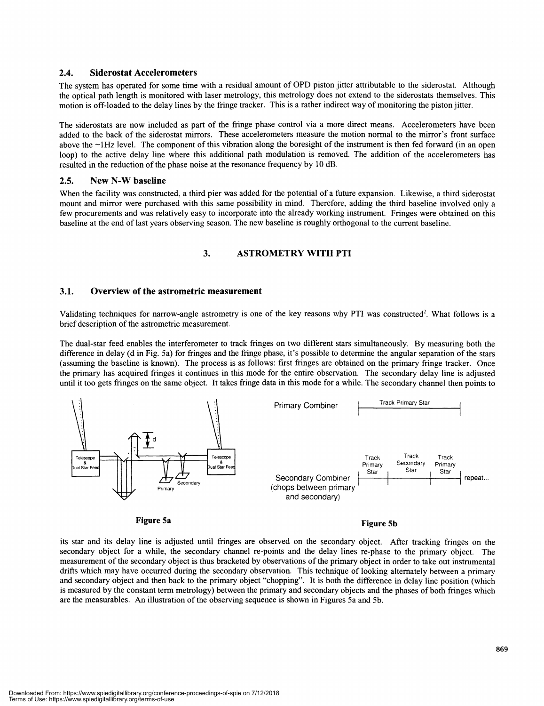#### 2.4. Siderostat Accelerometers

The system has operated for some time with a residual amount of OPD piston jitter attributable to the siderostat. Although the optical path length is monitored with laser metrology, this metrology does not extend to the siderostats themselves. This motion is off-loaded to the delay lines by the fringe tracker. This is a rather indirect way of monitoring the piston jitter.

The siderostats are now included as part of the fringe phase control via a more direct means. Accelerometers have been added to the back of the siderostat mirrors. These accelerometers measure the motion normal to the mirror's front surface above the  $\neg$ Hz level. The component of this vibration along the boresight of the instrument is then fed forward (in an open loop) to the active delay line where this additional path modulation is removed. The addition of the accelerometers has resulted in the reduction of the phase noise at the resonance frequency by 10 dB.

#### 2.5. New N-W baseline

When the facility was constructed, a third pier was added for the potential of a future expansion. Likewise, a third siderostat mount and mirror were purchased with this same possibility in mind. Therefore, adding the third baseline involved only a few procurements and was relatively easy to incorporate into the already working instrument. Fringes were obtained on this baseline at the end of last years observing season. The new baseline is roughly orthogonal to the current baseline.

#### 3. ASTROMETRY WITH PTI

#### 3.1. Overview of the astrometric measurement

Validating techniques for narrow-angle astrometry is one of the key reasons why PTI was constructed<sup>2</sup>. What follows is a brief description of the astrometric measurement.

The dual-star feed enables the interferometer to track fringes on two different stars simultaneously. By measuring both the difference in delay (d in Fig. 5a) for fringes and the fringe phase, it's possible to determine the angular separation of the stars (assuming the baseline is known). The process is as follows: first fringes are obtained on the primary fringe tracker. Once the primary has acquired fringes it continues in this mode for the entire observation. The secondary delay line is adjusted until it too gets fringes on the same object. It takes fringe data in this mode for a while. The secondary channel then points to



#### Figure 5a **Figure 5a** Figure 5b

its star and its delay line is adjusted until fringes are observed on the secondary object. After tracking fringes on the secondary object for a while, the secondary channel re-points and the delay lines re-phase to the primary object. The measurement of the secondary object is thus bracketed by observations of the primary object in order to take out instrumental drifts which may have occurred during the secondary observation. This technique of looking alternately between a primary and secondary object and then back to the primary object "chopping". It is both the difference in delay line position (which is measured by the constant term metrology) between the primary and secondary objects and the phases of both fringes which are the measurables. An illustration of the observing sequence is shown in Figures 5a and 5b.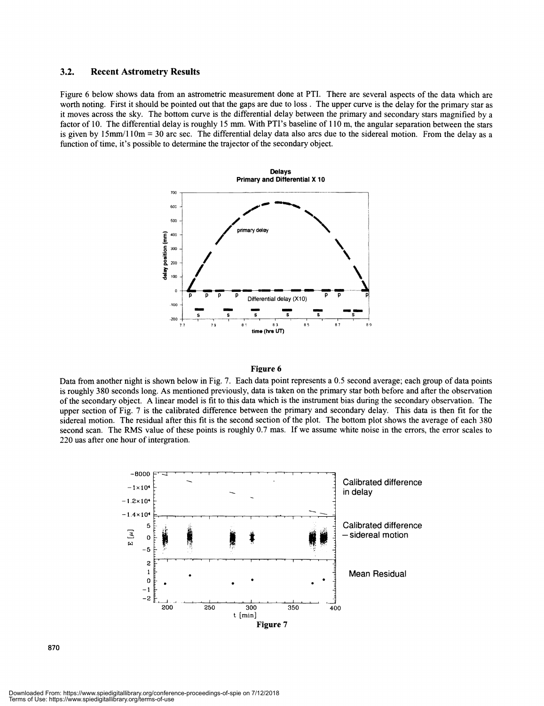#### 3.2. Recent Astrometry Results

Figure 6 below shows data from an astrometric measurement done at PTI. There are several aspects of the data which are worth noting. First it should be pointed out that the gaps are due to loss . The upper curve is the delay for the primary star as it moves across the sky. The bottom curve is the differential delay between the primary and secondary stars magnified by a factor of 10. The differential delay is roughly 15 mm. With PTI's baseline of 110 m, the angular separation between the stars is given by  $15$ mm/ $110$ m = 30 arc sec. The differential delay data also arcs due to the sidereal motion. From the delay as a function of time, it's possible to determine the trajector of the secondary object.



#### Figure 6

Data from another night is shown below in Fig. 7. Each data point represents a 0.5 second average; each group of data points is roughly 380 seconds long. As mentioned previously, data is taken on the primary star both before and after the observation ofthe secondary object. A linear model is fit to this data which is the instrument bias during the secondary observation. The upper section of Fig. 7 is the calibrated difference between the primary and secondary delay. This data is then fit for the sidereal motion. The residual after this fit is the second section of the plot. The bottom plot shows the average of each 380 second scan. The RMS value of these points is roughly 0.7 mas. If we assume white noise in the errors, the error scales to 220 uas after one hour of intergration.



870

Downloaded From: https://www.spiedigitallibrary.org/conference-proceedings-of-spie on 7/12/2018 Terms of Use: https://www.spiedigitallibrary.org/terms-of-use